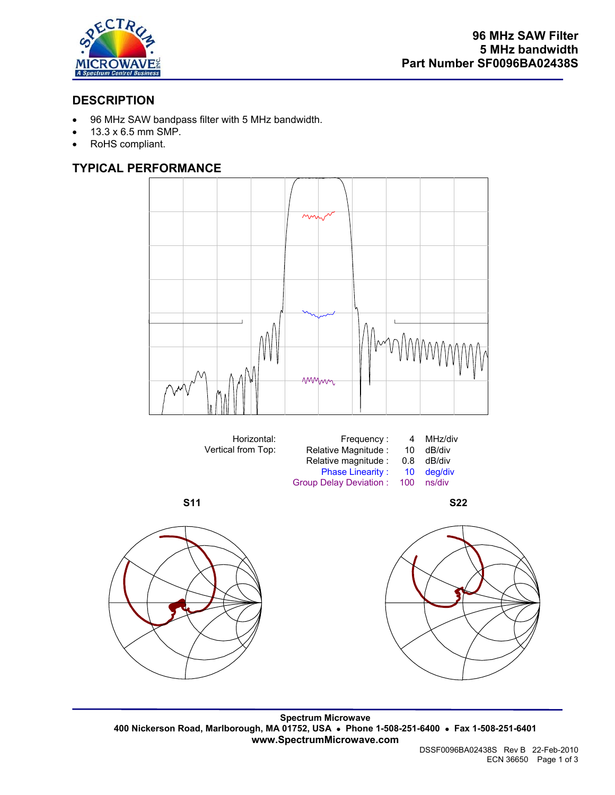

## **DESCRIPTION**

- 96 MHz SAW bandpass filter with 5 MHz bandwidth.
- 13.3 x 6.5 mm SMP.
- RoHS compliant.

### **TYPICAL PERFORMANCE**











**Spectrum Microwave 400 Nickerson Road, Marlborough, MA 01752, USA** • **Phone 1-508-251-6400** • **Fax 1-508-251-6401 www.SpectrumMicrowave.com**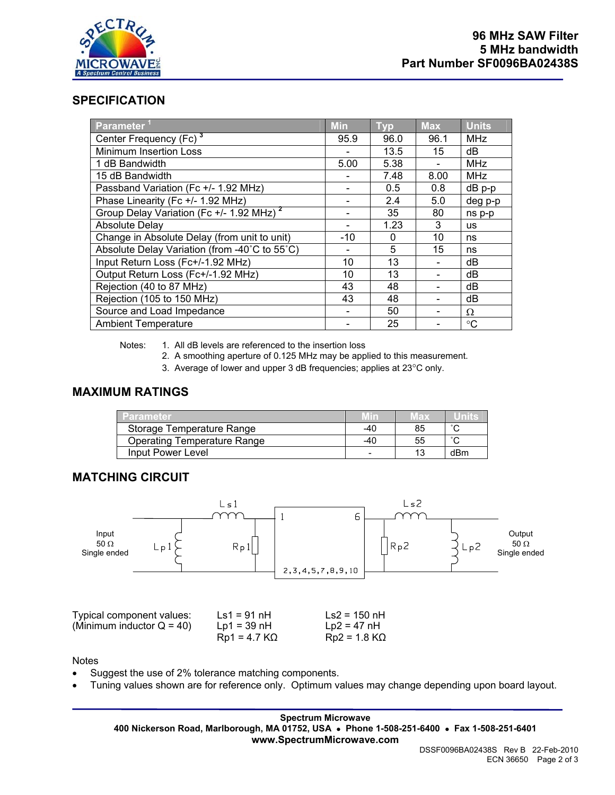

### **SPECIFICATION**

| Parameter <sup>1</sup>                               | <b>Min</b> | <b>Typ</b> | <b>Max</b> | <b>Units</b> |
|------------------------------------------------------|------------|------------|------------|--------------|
| Center Frequency (Fc) <sup>3</sup>                   | 95.9       | 96.0       | 96.1       | <b>MHz</b>   |
| <b>Minimum Insertion Loss</b>                        |            | 13.5       | 15         | dB           |
| 1 dB Bandwidth                                       | 5.00       | 5.38       |            | <b>MHz</b>   |
| 15 dB Bandwidth                                      |            | 7.48       | 8.00       | <b>MHz</b>   |
| Passband Variation (Fc +/- 1.92 MHz)                 |            | 0.5        | 0.8        | $dB$ $p-p$   |
| Phase Linearity (Fc +/- 1.92 MHz)                    |            | 2.4        | 5.0        | deg p-p      |
| Group Delay Variation (Fc +/- 1.92 MHz) <sup>2</sup> |            | 35         | 80         | ns p-p       |
| <b>Absolute Delay</b>                                |            | 1.23       | 3          | <b>us</b>    |
| Change in Absolute Delay (from unit to unit)         | $-10$      | 0          | 10         | ns           |
| Absolute Delay Variation (from -40°C to 55°C)        |            | 5          | 15         | ns           |
| Input Return Loss (Fc+/-1.92 MHz)                    | 10         | 13         |            | dB           |
| Output Return Loss (Fc+/-1.92 MHz)                   | 10         | 13         |            | dB           |
| Rejection (40 to 87 MHz)                             | 43         | 48         |            | dB           |
| Rejection (105 to 150 MHz)                           | 43         | 48         |            | dB           |
| Source and Load Impedance                            |            | 50         |            | Ω            |
| <b>Ambient Temperature</b>                           |            | 25         |            | $^{\circ}C$  |

Notes: 1. All dB levels are referenced to the insertion loss

2. A smoothing aperture of 0.125 MHz may be applied to this measurement.

3. Average of lower and upper 3 dB frequencies; applies at 23°C only.

#### **MAXIMUM RATINGS**

| Parameter                          | Min   | Vlax |        |
|------------------------------------|-------|------|--------|
| Storage Temperature Range          | $-40$ | 85   | $\sim$ |
| <b>Operating Temperature Range</b> | -40   | 55   | $\sim$ |
| Input Power Level                  |       |      | dBm    |

#### **MATCHING CIRCUIT**



Notes

- Suggest the use of 2% tolerance matching components.
- Tuning values shown are for reference only. Optimum values may change depending upon board layout.

**Spectrum Microwave 400 Nickerson Road, Marlborough, MA 01752, USA** • **Phone 1-508-251-6400** • **Fax 1-508-251-6401 www.SpectrumMicrowave.com**